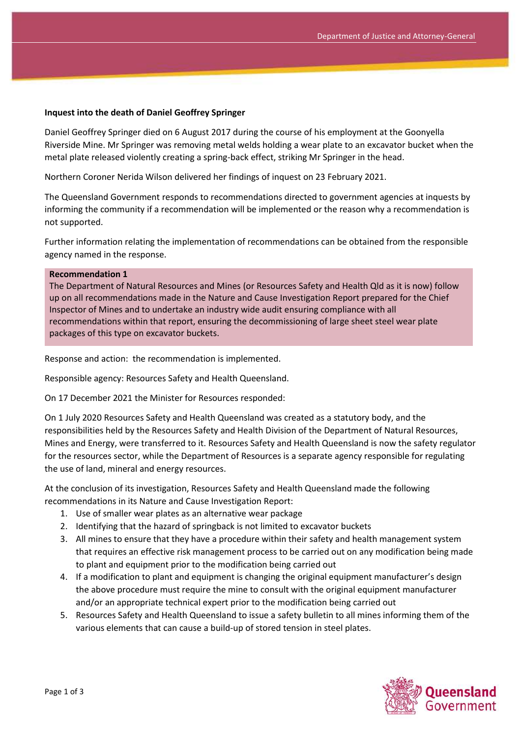## **Inquest into the death of Daniel Geoffrey Springer**

Daniel Geoffrey Springer died on 6 August 2017 during the course of his employment at the Goonyella Riverside Mine. Mr Springer was removing metal welds holding a wear plate to an excavator bucket when the metal plate released violently creating a spring-back effect, striking Mr Springer in the head.

Northern Coroner Nerida Wilson delivered her findings of inquest on 23 February 2021.

The Queensland Government responds to recommendations directed to government agencies at inquests by informing the community if a recommendation will be implemented or the reason why a recommendation is not supported.

Further information relating the implementation of recommendations can be obtained from the responsible agency named in the response.

## **Recommendation 1**

The Department of Natural Resources and Mines (or Resources Safety and Health Qld as it is now) follow up on all recommendations made in the Nature and Cause Investigation Report prepared for the Chief Inspector of Mines and to undertake an industry wide audit ensuring compliance with all recommendations within that report, ensuring the decommissioning of large sheet steel wear plate packages of this type on excavator buckets.

Response and action: the recommendation is implemented.

Responsible agency: Resources Safety and Health Queensland.

On 17 December 2021 the Minister for Resources responded:

On 1 July 2020 Resources Safety and Health Queensland was created as a statutory body, and the responsibilities held by the Resources Safety and Health Division of the Department of Natural Resources, Mines and Energy, were transferred to it. Resources Safety and Health Queensland is now the safety regulator for the resources sector, while the Department of Resources is a separate agency responsible for regulating the use of land, mineral and energy resources.

At the conclusion of its investigation, Resources Safety and Health Queensland made the following recommendations in its Nature and Cause Investigation Report:

- 1. Use of smaller wear plates as an alternative wear package
- 2. Identifying that the hazard of springback is not limited to excavator buckets
- 3. All mines to ensure that they have a procedure within their safety and health management system that requires an effective risk management process to be carried out on any modification being made to plant and equipment prior to the modification being carried out
- 4. If a modification to plant and equipment is changing the original equipment manufacturer's design the above procedure must require the mine to consult with the original equipment manufacturer and/or an appropriate technical expert prior to the modification being carried out
- 5. Resources Safety and Health Queensland to issue a safety bulletin to all mines informing them of the various elements that can cause a build-up of stored tension in steel plates.

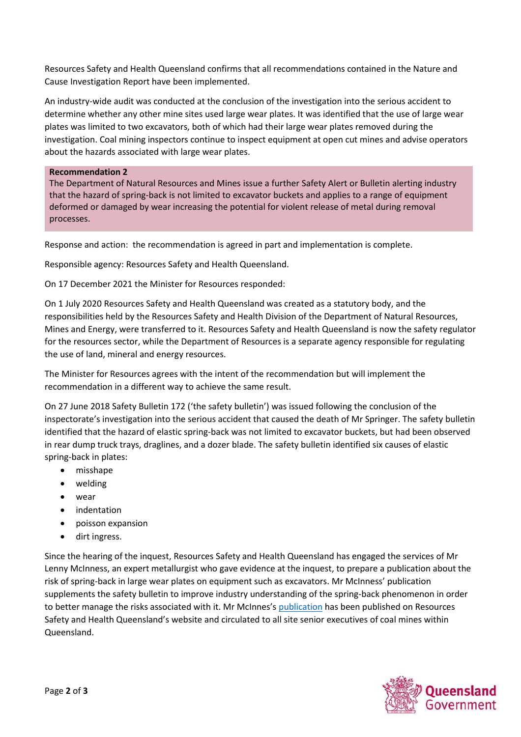Resources Safety and Health Queensland confirms that all recommendations contained in the Nature and Cause Investigation Report have been implemented.

An industry-wide audit was conducted at the conclusion of the investigation into the serious accident to determine whether any other mine sites used large wear plates. It was identified that the use of large wear plates was limited to two excavators, both of which had their large wear plates removed during the investigation. Coal mining inspectors continue to inspect equipment at open cut mines and advise operators about the hazards associated with large wear plates.

## **Recommendation 2**

The Department of Natural Resources and Mines issue a further Safety Alert or Bulletin alerting industry that the hazard of spring-back is not limited to excavator buckets and applies to a range of equipment deformed or damaged by wear increasing the potential for violent release of metal during removal processes.

Response and action: the recommendation is agreed in part and implementation is complete.

Responsible agency: Resources Safety and Health Queensland.

On 17 December 2021 the Minister for Resources responded:

On 1 July 2020 Resources Safety and Health Queensland was created as a statutory body, and the responsibilities held by the Resources Safety and Health Division of the Department of Natural Resources, Mines and Energy, were transferred to it. Resources Safety and Health Queensland is now the safety regulator for the resources sector, while the Department of Resources is a separate agency responsible for regulating the use of land, mineral and energy resources.

The Minister for Resources agrees with the intent of the recommendation but will implement the recommendation in a different way to achieve the same result.

On 27 June 2018 Safety Bulletin 172 ('the safety bulletin') was issued following the conclusion of the inspectorate's investigation into the serious accident that caused the death of Mr Springer. The safety bulletin identified that the hazard of elastic spring-back was not limited to excavator buckets, but had been observed in rear dump truck trays, draglines, and a dozer blade. The safety bulletin identified six causes of elastic spring-back in plates:

- misshape
- welding
- wear
- indentation
- poisson expansion
- dirt ingress.

Since the hearing of the inquest, Resources Safety and Health Queensland has engaged the services of Mr Lenny McInness, an expert metallurgist who gave evidence at the inquest, to prepare a publication about the risk of spring-back in large wear plates on equipment such as excavators. Mr McInness' publication supplements the safety bulletin to improve industry understanding of the spring-back phenomenon in order to better manage the risks associated with it. Mr McInnes's [publication](https://www.rshq.qld.gov.au/resources/documents/mines-resources/bucket-fatality-technical-learnings.pdf) has been published on Resources Safety and Health Queensland's website and circulated to all site senior executives of coal mines within Queensland.